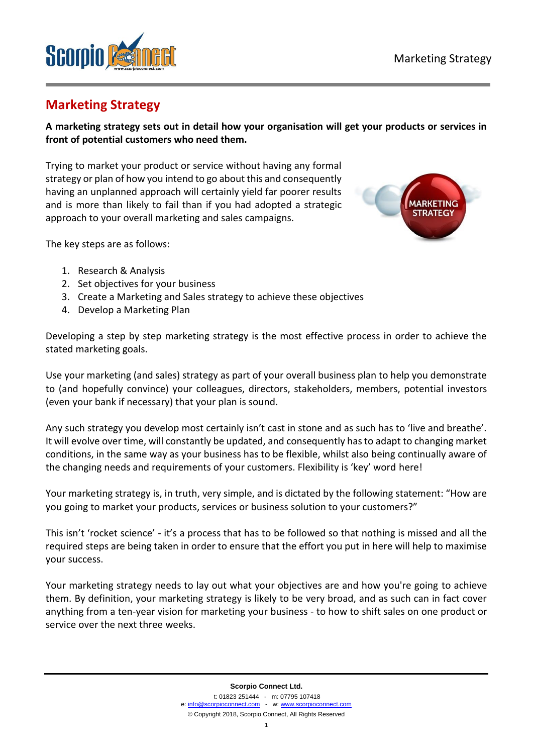

# **Marketing Strategy**

**A marketing strategy sets out in detail how your organisation will get your products or services in front of potential customers who need them.** 

Trying to market your product or service without having any formal strategy or plan of how you intend to go about this and consequently having an unplanned approach will certainly yield far poorer results and is more than likely to fail than if you had adopted a strategic approach to your overall marketing and sales campaigns.



The key steps are as follows:

- 1. Research & Analysis
- 2. Set objectives for your business
- 3. Create a Marketing and Sales strategy to achieve these objectives
- 4. Develop a Marketing Plan

Developing a step by step marketing strategy is the most effective process in order to achieve the stated marketing goals.

Use your marketing (and sales) strategy as part of your overall business plan to help you demonstrate to (and hopefully convince) your colleagues, directors, stakeholders, members, potential investors (even your bank if necessary) that your plan is sound.

Any such strategy you develop most certainly isn't cast in stone and as such has to 'live and breathe'. It will evolve over time, will constantly be updated, and consequently has to adapt to changing market conditions, in the same way as your business has to be flexible, whilst also being continually aware of the changing needs and requirements of your customers. Flexibility is 'key' word here!

Your marketing strategy is, in truth, very simple, and is dictated by the following statement: "How are you going to market your products, services or business solution to your customers?"

This isn't 'rocket science' - it's a process that has to be followed so that nothing is missed and all the required steps are being taken in order to ensure that the effort you put in here will help to maximise your success.

Your marketing strategy needs to lay out what your objectives are and how you're going to achieve them. By definition, your marketing strategy is likely to be very broad, and as such can in fact cover anything from a ten-year vision for marketing your business - to how to shift sales on one product or service over the next three weeks.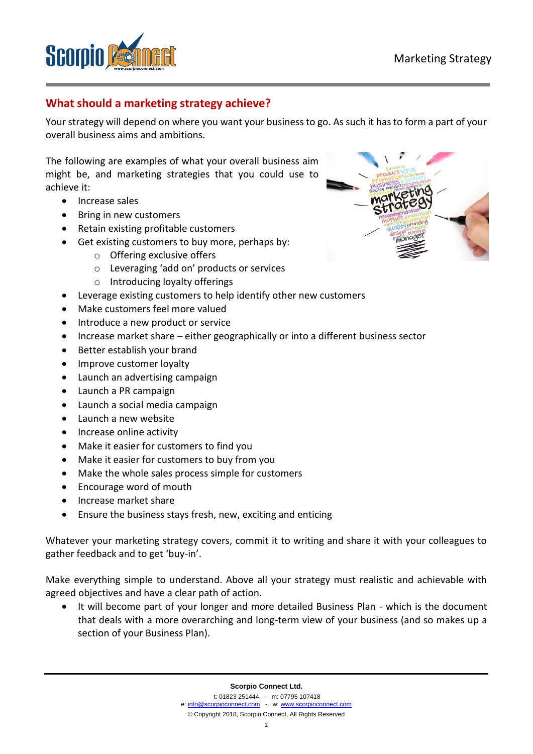

## **What should a marketing strategy achieve?**

Your strategy will depend on where you want your business to go. As such it has to form a part of your overall business aims and ambitions.

The following are examples of what your overall business aim might be, and marketing strategies that you could use to achieve it:

- Increase sales
- Bring in new customers
- Retain existing profitable customers
- Get existing customers to buy more, perhaps by:
	- o Offering exclusive offers
	- o Leveraging 'add on' products or services
	- o Introducing loyalty offerings
- Leverage existing customers to help identify other new customers
- Make customers feel more valued
- Introduce a new product or service
- Increase market share either geographically or into a different business sector
- Better establish your brand
- Improve customer loyalty
- Launch an advertising campaign
- Launch a PR campaign
- Launch a social media campaign
- Launch a new website
- Increase online activity
- Make it easier for customers to find you
- Make it easier for customers to buy from you
- Make the whole sales process simple for customers
- Encourage word of mouth
- Increase market share
- Ensure the business stays fresh, new, exciting and enticing

Whatever your marketing strategy covers, commit it to writing and share it with your colleagues to gather feedback and to get 'buy-in'.

Make everything simple to understand. Above all your strategy must realistic and achievable with agreed objectives and have a clear path of action.

• It will become part of your longer and more detailed Business Plan - which is the document that deals with a more overarching and long-term view of your business (and so makes up a section of your Business Plan).

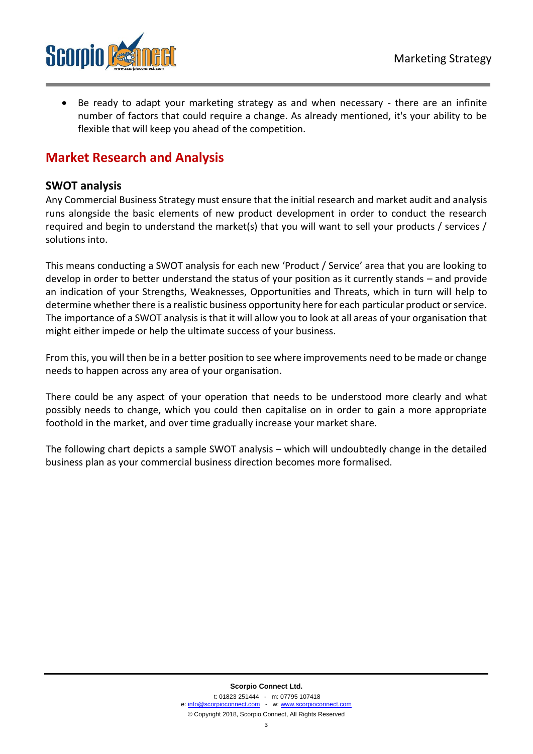

Be ready to adapt your marketing strategy as and when necessary - there are an infinite number of factors that could require a change. As already mentioned, it's your ability to be flexible that will keep you ahead of the competition.

## **Market Research and Analysis**

#### **SWOT analysis**

Any Commercial Business Strategy must ensure that the initial research and market audit and analysis runs alongside the basic elements of new product development in order to conduct the research required and begin to understand the market(s) that you will want to sell your products / services / solutions into.

This means conducting a SWOT analysis for each new 'Product / Service' area that you are looking to develop in order to better understand the status of your position as it currently stands – and provide an indication of your Strengths, Weaknesses, Opportunities and Threats, which in turn will help to determine whether there is a realistic business opportunity here for each particular product or service. The importance of a SWOT analysis is that it will allow you to look at all areas of your organisation that might either impede or help the ultimate success of your business.

From this, you will then be in a better position to see where improvements need to be made or change needs to happen across any area of your organisation.

There could be any aspect of your operation that needs to be understood more clearly and what possibly needs to change, which you could then capitalise on in order to gain a more appropriate foothold in the market, and over time gradually increase your market share.

The following chart depicts a sample SWOT analysis – which will undoubtedly change in the detailed business plan as your commercial business direction becomes more formalised.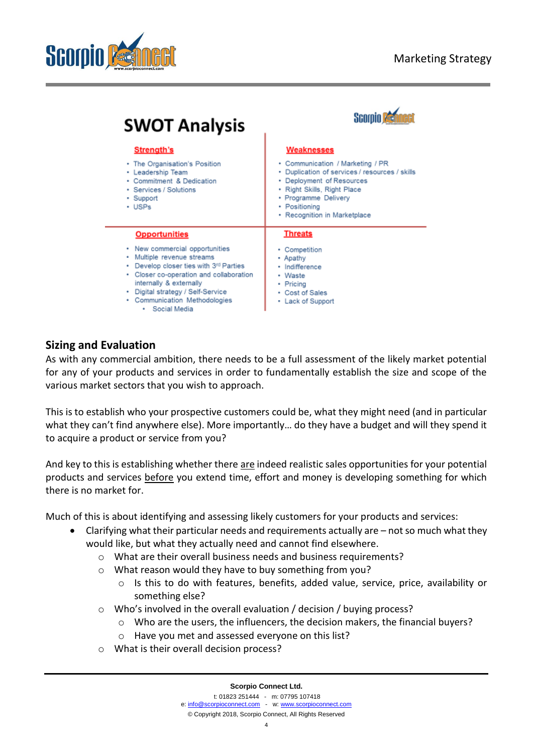



| <b>SWOT Analysis</b>                                                                                                                                                                                                                                                                                           |                                                                                                                                                                                                                                              |
|----------------------------------------------------------------------------------------------------------------------------------------------------------------------------------------------------------------------------------------------------------------------------------------------------------------|----------------------------------------------------------------------------------------------------------------------------------------------------------------------------------------------------------------------------------------------|
| <b>Strength's</b><br>• The Organisation's Position<br>• Leadership Team<br>• Commitment & Dedication<br>• Services / Solutions<br>• Support<br>$\cdot$ USPs                                                                                                                                                    | <b>Weaknesses</b><br>• Communication / Marketing / PR<br>· Duplication of services / resources / skills<br>• Deployment of Resources<br>• Right Skills, Right Place<br>· Programme Delivery<br>• Positioning<br>• Recognition in Marketplace |
| <b>Opportunities</b><br>• New commercial opportunities<br>• Multiple revenue streams<br>Develop closer ties with 3 <sup>rd</sup> Parties<br>٠<br>• Closer co-operation and collaboration<br>internally & externally<br>• Digital strategy / Self-Service<br>• Communication Methodologies<br>Social Media<br>٠ | <b>Threats</b><br>• Competition<br>• Apathy<br>· Indifference<br>• Waste<br>• Pricing<br>• Cost of Sales<br>• Lack of Support                                                                                                                |

### **Sizing and Evaluation**

As with any commercial ambition, there needs to be a full assessment of the likely market potential for any of your products and services in order to fundamentally establish the size and scope of the various market sectors that you wish to approach.

This is to establish who your prospective customers could be, what they might need (and in particular what they can't find anywhere else). More importantly… do they have a budget and will they spend it to acquire a product or service from you?

And key to this is establishing whether there are indeed realistic sales opportunities for your potential products and services before you extend time, effort and money is developing something for which there is no market for.

Much of this is about identifying and assessing likely customers for your products and services:

- Clarifying what their particular needs and requirements actually are not so much what they would like, but what they actually need and cannot find elsewhere.
	- o What are their overall business needs and business requirements?
	- o What reason would they have to buy something from you?
		- o Is this to do with features, benefits, added value, service, price, availability or something else?
	- o Who's involved in the overall evaluation / decision / buying process?
		- $\circ$  Who are the users, the influencers, the decision makers, the financial buyers?
		- o Have you met and assessed everyone on this list?
	- o What is their overall decision process?

**Scorpio Connect Ltd.**

© Copyright 2018, Scorpio Connect, All Rights Reserved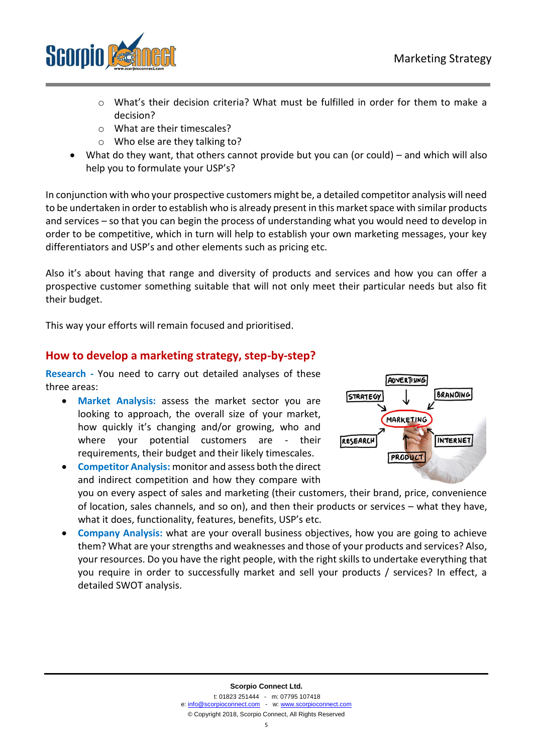

- $\circ$  What's their decision criteria? What must be fulfilled in order for them to make a decision?
- o What are their timescales?
- o Who else are they talking to?
- What do they want, that others cannot provide but you can (or could) and which will also help you to formulate your USP's?

In conjunction with who your prospective customers might be, a detailed competitor analysis will need to be undertaken in order to establish who is already present in this market space with similar products and services – so that you can begin the process of understanding what you would need to develop in order to be competitive, which in turn will help to establish your own marketing messages, your key differentiators and USP's and other elements such as pricing etc.

Also it's about having that range and diversity of products and services and how you can offer a prospective customer something suitable that will not only meet their particular needs but also fit their budget.

This way your efforts will remain focused and prioritised.

### **How to develop a marketing strategy, step-by-step?**

**Research -** You need to carry out detailed analyses of these three areas:

- **Market Analysis:** assess the market sector you are looking to approach, the overall size of your market, how quickly it's changing and/or growing, who and where your potential customers are - their requirements, their budget and their likely timescales.
- **Competitor Analysis:** monitor and assess both the direct and indirect competition and how they compare with you on every aspect of sales and marketing (their customers, their brand, price, convenience of location, sales channels, and so on), and then their products or services – what they have, what it does, functionality, features, benefits, USP's etc.
- **Company Analysis:** what are your overall business objectives, how you are going to achieve them? What are your strengths and weaknesses and those of your products and services? Also, your resources. Do you have the right people, with the right skills to undertake everything that you require in order to successfully market and sell your products / services? In effect, a detailed SWOT analysis.

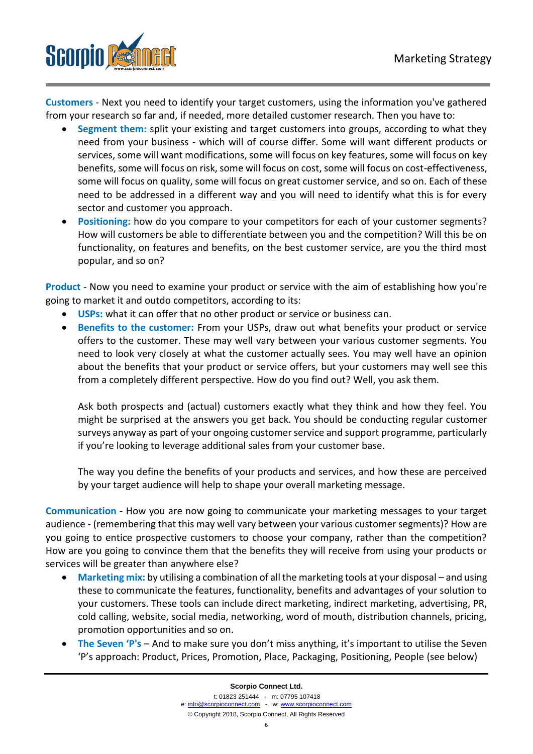

**Customers** - Next you need to identify your target customers, using the information you've gathered from your research so far and, if needed, more detailed customer research. Then you have to:

- **Segment them:** split your existing and target customers into groups, according to what they need from your business - which will of course differ. Some will want different products or services, some will want modifications, some will focus on key features, some will focus on key benefits, some will focus on risk, some will focus on cost, some will focus on cost-effectiveness, some will focus on quality, some will focus on great customer service, and so on. Each of these need to be addressed in a different way and you will need to identify what this is for every sector and customer you approach.
- **Positioning:** how do you compare to your competitors for each of your customer segments? How will customers be able to differentiate between you and the competition? Will this be on functionality, on features and benefits, on the best customer service, are you the third most popular, and so on?

**Product** - Now you need to examine your product or service with the aim of establishing how you're going to market it and outdo competitors, according to its:

- **USPs:** what it can offer that no other product or service or business can.
- **Benefits to the customer:** From your USPs, draw out what benefits your product or service offers to the customer. These may well vary between your various customer segments. You need to look very closely at what the customer actually sees. You may well have an opinion about the benefits that your product or service offers, but your customers may well see this from a completely different perspective. How do you find out? Well, you ask them.

Ask both prospects and (actual) customers exactly what they think and how they feel. You might be surprised at the answers you get back. You should be conducting regular customer surveys anyway as part of your ongoing customer service and support programme, particularly if you're looking to leverage additional sales from your customer base.

The way you define the benefits of your products and services, and how these are perceived by your target audience will help to shape your overall marketing message.

**Communication** - How you are now going to communicate your marketing messages to your target audience - (remembering that this may well vary between your various customer segments)? How are you going to entice prospective customers to choose your company, rather than the competition? How are you going to convince them that the benefits they will receive from using your products or services will be greater than anywhere else?

- **Marketing mix:** by utilising a combination of all the marketing tools at your disposal and using these to communicate the features, functionality, benefits and advantages of your solution to your customers. These tools can include direct marketing, indirect marketing, advertising, PR, cold calling, website, social media, networking, word of mouth, distribution channels, pricing, promotion opportunities and so on.
- **The Seven 'P's** And to make sure you don't miss anything, it's important to utilise the Seven 'P's approach: Product, Prices, Promotion, Place, Packaging, Positioning, People (see below)